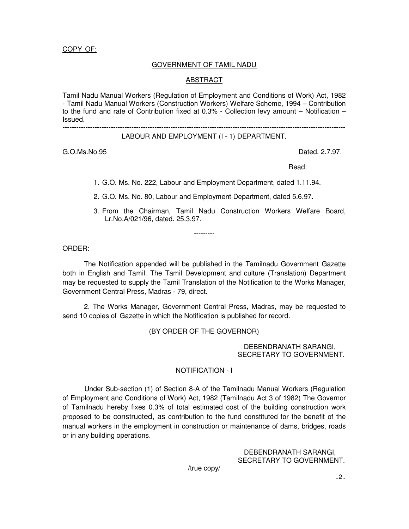COPY OF:

### GOVERNMENT OF TAMIL NADU

#### ABSTRACT

Tamil Nadu Manual Workers (Regulation of Employment and Conditions of Work) Act, 1982 - Tamil Nadu Manual Workers (Construction Workers) Welfare Scheme, 1994 – Contribution to the fund and rate of Contribution fixed at 0.3% - Collection levy amount – Notification – Issued.

---------------------------------------------------------------------------------------------------------------------------

## LABOUR AND EMPLOYMENT (I - 1) DEPARTMENT.

G.O.Ms.No.95 Dated. 2.7.97.

read: the contract of the contract of the contract of the contract of the contract of the contract of the contract of the contract of the contract of the contract of the contract of the contract of the contract of the cont

1. G.O. Ms. No. 222, Labour and Employment Department, dated 1.11.94.

2. G.O. Ms. No. 80, Labour and Employment Department, dated 5.6.97.

---------

3. From the Chairman, Tamil Nadu Construction Workers Welfare Board, Lr.No.A/021/96, dated. 25.3.97.

ORDER:

The Notification appended will be published in the Tamilnadu Government Gazette both in English and Tamil. The Tamil Development and culture (Translation) Department may be requested to supply the Tamil Translation of the Notification to the Works Manager, Government Central Press, Madras - 79, direct.

2. The Works Manager, Government Central Press, Madras, may be requested to send 10 copies of Gazette in which the Notification is published for record.

(BY ORDER OF THE GOVERNOR)

 DEBENDRANATH SARANGI, SECRETARY TO GOVERNMENT.

### NOTIFICATION - I

Under Sub-section (1) of Section 8-A of the Tamilnadu Manual Workers (Regulation of Employment and Conditions of Work) Act, 1982 (Tamilnadu Act 3 of 1982) The Governor of Tamilnadu hereby fixes 0.3% of total estimated cost of the building construction work proposed to be constructed, as contribution to the fund constituted for the benefit of the manual workers in the employment in construction or maintenance of dams, bridges, roads or in any building operations.

> DEBENDRANATH SARANGI, SECRETARY TO GOVERNMENT.

/true copy/

..2..